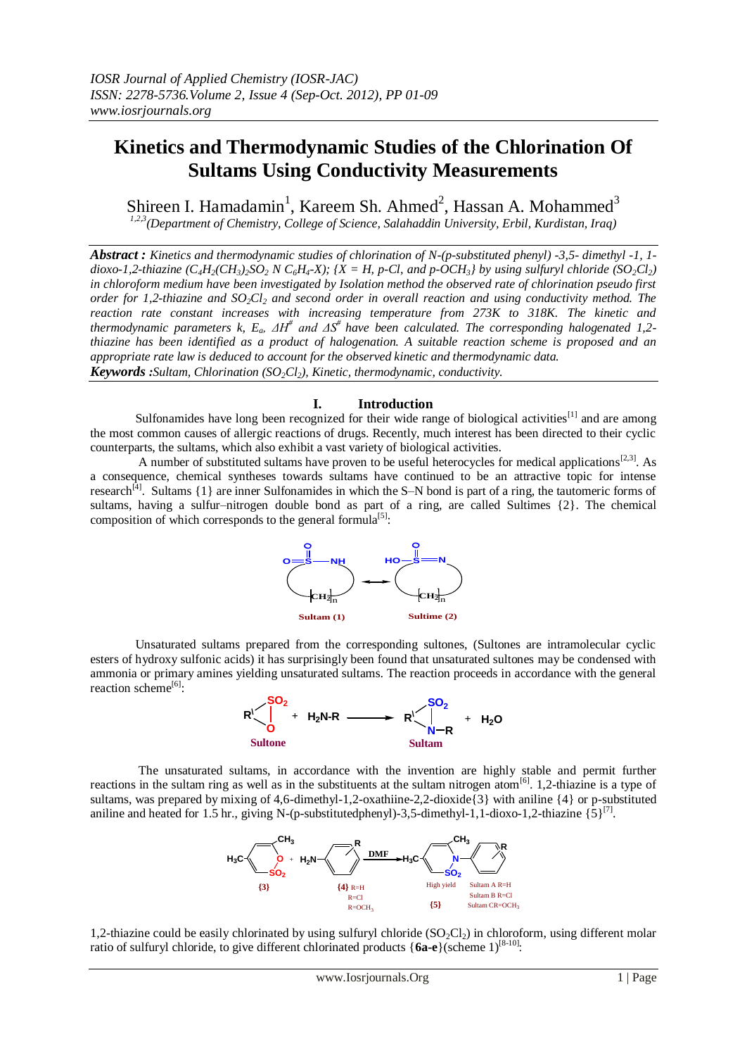# **Kinetics and Thermodynamic Studies of the Chlorination Of Sultams Using Conductivity Measurements**

Shireen I. Hamadamin<sup>1</sup>, Kareem Sh. Ahmed<sup>2</sup>, Hassan A. Mohammed<sup>3</sup>

*1,2,3(Department of Chemistry, College of Science, Salahaddin University, Erbil, Kurdistan, Iraq)*

*Abstract : Kinetics and thermodynamic studies of chlorination of N-(p-substituted phenyl) -3,5- dimethyl -1, 1* dioxo-1,2-thiazine (C<sub>4</sub>H<sub>2</sub>(CH<sub>3</sub>)<sub>2</sub>SO<sub>2</sub> N C<sub>6</sub>H<sub>4</sub>-X); {X = H, p-Cl, and p-OCH<sub>3</sub>} by using sulfuryl chloride (SO<sub>2</sub>Cl<sub>2</sub>) *in chloroform medium have been investigated by Isolation method the observed rate of chlorination pseudo first order for 1,2-thiazine and SO2Cl<sup>2</sup> and second order in overall reaction and using conductivity method. The reaction rate constant increases with increasing temperature from 273K to 318K. The kinetic and thermodynamic parameters k, Ea, ΔH# and ΔS# have been calculated. The corresponding halogenated 1,2 thiazine has been identified as a product of halogenation. A suitable reaction scheme is proposed and an appropriate rate law is deduced to account for the observed kinetic and thermodynamic data. Keywords :Sultam, Chlorination (SO2Cl2), Kinetic, thermodynamic, conductivity.*

# **I. Introduction**

Sulfonamides have long been recognized for their wide range of biological activities<sup>[1]</sup> and are among the most common causes of allergic reactions of drugs. Recently, much interest has been directed to their cyclic counterparts, the sultams, which also exhibit a vast variety of biological activities.

A number of substituted sultams have proven to be useful heterocycles for medical applications<sup>[2,3]</sup>. As a consequence, chemical syntheses towards sultams have continued to be an attractive topic for intense research<sup>[4]</sup>. Sultams  $\{1\}$  are inner Sulfonamides in which the S–N bond is part of a ring, the tautomeric forms of sultams, having a sulfur–nitrogen double bond as part of a ring, are called Sultimes {2}. The chemical composition of which corresponds to the general formula<sup>[5]</sup>:



Unsaturated sultams prepared from the corresponding sultones, (Sultones are intramolecular cyclic esters of hydroxy sulfonic acids) it has surprisingly been found that unsaturated sultones may be condensed with ammonia or primary amines yielding unsaturated sultams. The reaction proceeds in accordance with the general reaction scheme<sup>[6]</sup>:



The unsaturated sultams, in accordance with the invention are highly stable and permit further reactions in the sultam ring as well as in the substituents at the sultam nitrogen atom<sup>[6]</sup>. 1,2-thiazine is a type of sultams, was prepared by mixing of 4,6-dimethyl-1,2-oxathiine-2,2-dioxide{3} with aniline {4} or p-substituted aniline and heated for 1.5 hr., giving N-(p-substitutedphenyl)-3,5-dimethyl-1,1-dioxo-1,2-thiazine  $\{5\}^{[7]}$ .



1,2-thiazine could be easily chlorinated by using sulfuryl chloride  $(SO_2Cl_2)$  in chloroform, using different molar ratio of sulfuryl chloride, to give different chlorinated products {6a-e}(scheme 1)<sup>[8-10]</sup>: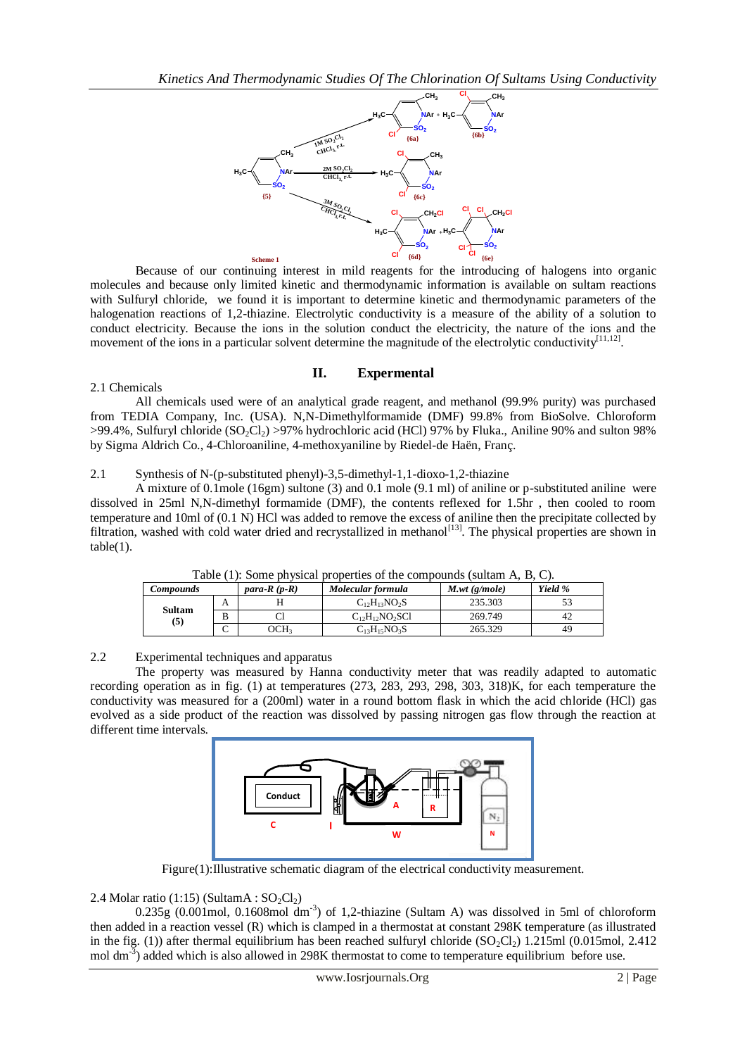

Because of our continuing interest in mild reagents for the introducing of halogens into organic molecules and because only limited kinetic and thermodynamic information is available on sultam reactions with Sulfuryl chloride, we found it is important to determine kinetic and thermodynamic parameters of the halogenation reactions of 1,2-thiazine. Electrolytic conductivity is a measure of the ability of a solution to conduct electricity. Because the ions in the solution conduct the electricity, the nature of the ions and the movement of the ions in a particular solvent determine the magnitude of the electrolytic conductivity  $[11,12]$ .

# **II. Expermental**

# 2.1 Chemicals

All chemicals used were of an analytical grade reagent, and methanol (99.9% purity) was purchased from TEDIA Company, Inc. (USA). N,N-Dimethylformamide (DMF) 99.8% from BioSolve. Chloroform  $>99.4\%$ , Sulfuryl chloride (SO<sub>2</sub>Cl<sub>2</sub>)  $>97\%$  hydrochloric acid (HCl) 97% by Fluka., Aniline 90% and sulton 98% by Sigma Aldrich Co., 4-Chloroaniline, 4-methoxyaniline by Riedel-de Haën, Franç.

## 2.1 Synthesis of N-(p-substituted phenyl)-3,5-dimethyl-1,1-dioxo-1,2-thiazine

A mixture of 0.1mole (16gm) sultone (3) and 0.1 mole (9.1 ml) of aniline or p-substituted aniline were dissolved in 25ml N,N-dimethyl formamide (DMF), the contents reflexed for 1.5hr , then cooled to room temperature and 10ml of (0.1 N) HCl was added to remove the excess of aniline then the precipitate collected by filtration, washed with cold water dried and recrystallized in methanol<sup>[13]</sup>. The physical properties are shown in table(1).

| Twore $(1)$ , bonic presented properties of the compounts (statum in $D_i \cup \beta$ ). |        |                |                       |                 |         |
|------------------------------------------------------------------------------------------|--------|----------------|-----------------------|-----------------|---------|
| <b>Compounds</b>                                                                         |        | para- $R(p-R)$ | Molecular formula     | $M.wt$ (g/mole) | Yield % |
|                                                                                          | $\sim$ |                | $C_{12}H_{13}NO_2S$   | 235.303         |         |
| Sultam<br>(5)                                                                            | B      |                | $C_{12}H_{12}NO_2SC1$ | 269.749         | 42      |
|                                                                                          |        | CH3            | $C_{13}H_{15}NO_3S$   | 265.329         | 49      |

Table (1): Some physical properties of the compounds (sultam A, B, C).

## 2.2 Experimental techniques and apparatus

The property was measured by Hanna conductivity meter that was readily adapted to automatic recording operation as in fig. (1) at temperatures (273, 283, 293, 298, 303, 318)K, for each temperature the conductivity was measured for a (200ml) water in a round bottom flask in which the acid chloride (HCl) gas evolved as a side product of the reaction was dissolved by passing nitrogen gas flow through the reaction at different time intervals.



Figure(1):Illustrative schematic diagram of the electrical conductivity measurement.

# 2.4 Molar ratio (1:15) (SultamA :  $SO_2Cl_2$ )

 $0.235g$  (0.001mol, 0.1608mol dm<sup>-3</sup>) of 1,2-thiazine (Sultam A) was dissolved in 5ml of chloroform then added in a reaction vessel (R) which is clamped in a thermostat at constant 298K temperature (as illustrated in the fig. (1)) after thermal equilibrium has been reached sulfuryl chloride  $(SO_2Cl_2)$  1.215ml (0.015mol, 2.412) mol dm<sup>-3</sup>) added which is also allowed in 298K thermostat to come to temperature equilibrium before use.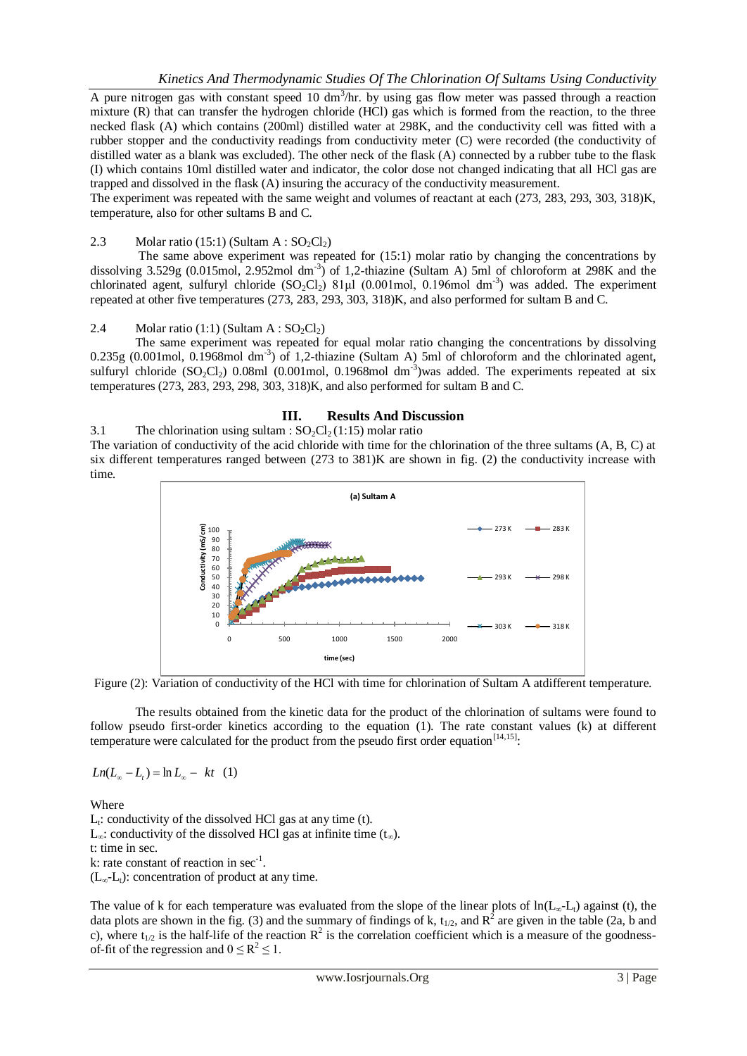A pure nitrogen gas with constant speed 10  $dm<sup>3</sup>/hr$ . by using gas flow meter was passed through a reaction mixture (R) that can transfer the hydrogen chloride (HCl) gas which is formed from the reaction, to the three necked flask (A) which contains (200ml) distilled water at 298K, and the conductivity cell was fitted with a rubber stopper and the conductivity readings from conductivity meter (C) were recorded (the conductivity of distilled water as a blank was excluded). The other neck of the flask (A) connected by a rubber tube to the flask (I) which contains 10ml distilled water and indicator, the color dose not changed indicating that all HCl gas are trapped and dissolved in the flask (A) insuring the accuracy of the conductivity measurement.

The experiment was repeated with the same weight and volumes of reactant at each (273, 283, 293, 303, 318)K, temperature, also for other sultams B and C.

## 2.3 Molar ratio (15:1) (Sultam A :  $SO_2Cl_2$ )

The same above experiment was repeated for  $(15:1)$  molar ratio by changing the concentrations by dissolving  $3.529g$  (0.015mol, 2.952mol dm<sup>-3</sup>) of 1,2-thiazine (Sultam A) 5ml of chloroform at 298K and the chlorinated agent, sulfuryl chloride  $(SO_2Cl_2)$  81µl (0.001mol, 0.196mol dm<sup>-3</sup>) was added. The experiment repeated at other five temperatures (273, 283, 293, 303, 318)K, and also performed for sultam B and C.

## 2.4 Molar ratio (1:1) (Sultam A :  $SO_2Cl_2$ )

The same experiment was repeated for equal molar ratio changing the concentrations by dissolving  $0.235g$  (0.001mol, 0.1968mol dm<sup>-3</sup>) of 1,2-thiazine (Sultam A) 5ml of chloroform and the chlorinated agent, sulfuryl chloride  $(SO_2Cl_2)$  0.08ml  $(0.001 \text{mol}, 0.1968 \text{mol})$  dm<sup>-3</sup>)was added. The experiments repeated at six temperatures (273, 283, 293, 298, 303, 318)K, and also performed for sultam B and C.

#### **III. Results And Discussion**

3.1 The chlorination using sultam :  $SO_2Cl_2(1:15)$  molar ratio

The variation of conductivity of the acid chloride with time for the chlorination of the three sultams (A, B, C) at six different temperatures ranged between (273 to 381)K are shown in fig. (2) the conductivity increase with time.



Figure (2): Variation of conductivity of the HCl with time for chlorination of Sultam A atdifferent temperature.

The results obtained from the kinetic data for the product of the chlorination of sultams were found to follow pseudo first-order kinetics according to the equation (1). The rate constant values (k) at different temperature were calculated for the product from the pseudo first order equation  $[14, 15]$ .

 $Ln(L_{\infty} - L_{t}) = ln L_{\infty} - kt \quad (1)$ 

Where

 $L_t$ : conductivity of the dissolved HCl gas at any time (t). L<sub>∞</sub>: conductivity of the dissolved HCl gas at infinite time  $(t<sub>∞</sub>)$ . t: time in sec. k: rate constant of reaction in  $sec^{-1}$ .  $(L<sub>∞</sub>-L<sub>t</sub>)$ : concentration of product at any time.

The value of k for each temperature was evaluated from the slope of the linear plots of  $ln(L_{\infty}-L_{t})$  against (t), the data plots are shown in the fig. (3) and the summary of findings of k,  $t_{1/2}$ , and  $R^2$  are given in the table (2a, b and c), where  $t_{1/2}$  is the half-life of the reaction  $R^2$  is the correlation coefficient which is a measure of the goodnessof-fit of the regression and  $0 \le R^2 \le 1$ .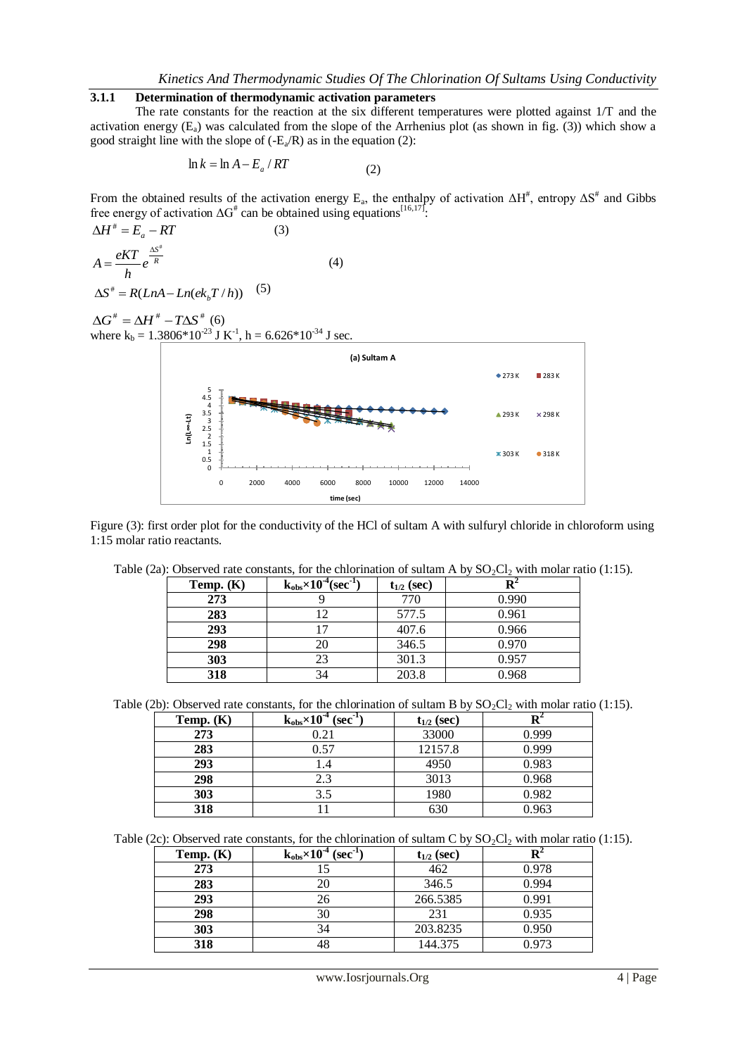## **3.1.1 Determination of thermodynamic activation parameters**

The rate constants for the reaction at the six different temperatures were plotted against 1/T and the activation energy  $(E_a)$  was calculated from the slope of the Arrhenius plot (as shown in fig. (3)) which show a good straight line with the slope of  $(-E_a/R)$  as in the equation (2):

$$
\ln k = \ln A - E_a / RT \tag{2}
$$

From the obtained results of the activation energy  $E_a$ , the enthalpy of activation  $\Delta H^*$ , entropy  $\Delta S^*$  and Gibbs free energy of activation  $\Delta G^*$  can be obtained using equations<sup>[16,17]</sup>.

$$
\Delta H^* = E_a - RT
$$
 (3)  

$$
A = \frac{eKT}{h} e^{\frac{\Delta S^*}{R}}
$$
 (4)

 $\Delta S^* = R(LnA - Ln(ek_bT/h))$  (5)

 $\Delta G^{\text{\#}} = \Delta H^{\text{\#}} - T \Delta S^{\text{\#}}$  (6) where  $k_b = 1.3806*10^{-23}$  J K<sup>-1</sup>, h = 6.626\*10<sup>-34</sup> J sec.



Figure (3): first order plot for the conductivity of the HCl of sultam A with sulfuryl chloride in chloroform using 1:15 molar ratio reactants.

| Temp. $(K)$ | $k_{obs} \times 10^{-4}$ (sec <sup>-1</sup> ) | $t_{1/2}$ (sec) |       |
|-------------|-----------------------------------------------|-----------------|-------|
| 273         |                                               | 770             | 0.990 |
| 283         |                                               | 577.5           | 0.961 |
| 293         |                                               | 407.6           | 0.966 |
| 298         | 20                                            | 346.5           | 0.970 |
| 303         | 23                                            | 301.3           | 0.957 |
| 318         | 34                                            | 203.8           | 0.968 |

Table (2a): Observed rate constants, for the chlorination of sultam A by  $SO_2Cl_2$  with molar ratio (1:15).

Table (2b): Observed rate constants, for the chlorination of sultam B by  $SO_2Cl_2$  with molar ratio (1:15).

| Temp. $(K)$ | $k_{obs} \times 10^{4}$ (sec <sup>-1</sup> ) | $t_{1/2}$ (sec) |       |
|-------------|----------------------------------------------|-----------------|-------|
| 273         | 0.21                                         | 33000           | 0.999 |
| 283         | 0.57                                         | 12157.8         | 0.999 |
| 293         | 1.4                                          | 4950            | 0.983 |
| 298         | 2.3                                          | 3013            | 0.968 |
| 303         | 3.5                                          | 1980            | 0.982 |
| 318         |                                              | 630             | 0.963 |

Table (2c): Observed rate constants, for the chlorination of sultam C by  $SO_2Cl_2$  with molar ratio (1:15).

| Temp. $(K)$ | $k_{obs}\times 10^{-4}$<br>$(sec-1)$ | $t_{1/2}$ (sec) |       |
|-------------|--------------------------------------|-----------------|-------|
| 273         |                                      | 462             | 0.978 |
| 283         |                                      | 346.5           | 0.994 |
| 293         |                                      | 266.5385        | 0.991 |
| 298         | 30                                   | 231             | 0.935 |
| 303         | 34                                   | 203.8235        | 0.950 |
| 318         |                                      | 144.375         | 0.973 |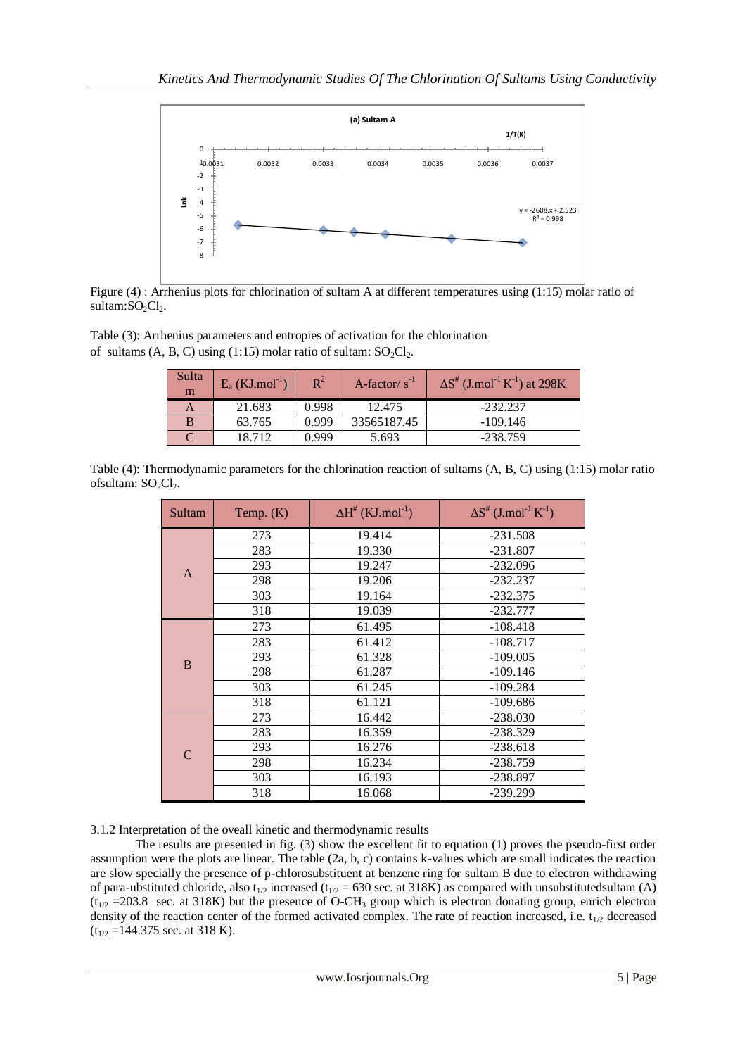

Figure (4) : Arrhenius plots for chlorination of sultam A at different temperatures using (1:15) molar ratio of sultam:SO<sub>2</sub>Cl<sub>2</sub>.

Table (3): Arrhenius parameters and entropies of activation for the chlorination of sultams  $(A, B, C)$  using  $(1:15)$  molar ratio of sultam:  $SO_2Cl_2$ .

| Sulta<br>m | $E_a$ (KJ.mol <sup>-1</sup> ) | $\mathbb{R}^2$ | A-factor/ $s^{-1}$ | $\Delta S^{\#}$ (J.mol <sup>-1</sup> K <sup>-1</sup> ) at 298K |
|------------|-------------------------------|----------------|--------------------|----------------------------------------------------------------|
|            | 21.683                        | 0.998          | 12.475             | $-232.237$                                                     |
| B          | 63.765                        | 0.999          | 33565187.45        | $-109.146$                                                     |
|            | 18.712                        | 0.999          | 5.693              | $-238.759$                                                     |

Table (4): Thermodynamic parameters for the chlorination reaction of sultams (A, B, C) using (1:15) molar ratio ofsultam:  $SO_2Cl_2$ .

| Sultam        | Temp. $(K)$ | $\Delta H^{\#}$ (KJ.mol <sup>-1</sup> ) | $\Delta S^{\#}$ (J.mol <sup>-1</sup> K <sup>-1</sup> ) |
|---------------|-------------|-----------------------------------------|--------------------------------------------------------|
|               | 273         | 19.414                                  | $-231.508$                                             |
|               | 283         | 19.330                                  | $-231.807$                                             |
| $\mathbf{A}$  | 293         | 19.247                                  | $-232.096$                                             |
|               | 298         | 19.206                                  | $-232.237$                                             |
|               | 303         | 19.164                                  | $-232.375$                                             |
|               | 318         | 19.039                                  | $-232.777$                                             |
|               | 273         | 61.495                                  | $-108.418$                                             |
|               | 283         | 61.412                                  | $-108.717$                                             |
| B             | 293         | 61.328                                  | $-109.005$                                             |
|               | 298         | 61.287                                  | $-109.146$                                             |
|               | 303         | 61.245                                  | $-109.284$                                             |
|               | 318         | 61.121                                  | -109.686                                               |
|               | 273         | 16.442                                  | $-238.030$                                             |
|               | 283         | 16.359                                  | $-238.329$                                             |
| $\mathcal{C}$ | 293         | 16.276                                  | $-238.618$                                             |
|               | 298         | 16.234                                  | -238.759                                               |
|               | 303         | 16.193                                  | -238.897                                               |
|               | 318         | 16.068                                  | -239.299                                               |

3.1.2 Interpretation of the oveall kinetic and thermodynamic results

The results are presented in fig. (3) show the excellent fit to equation (1) proves the pseudo-first order assumption were the plots are linear. The table (2a, b, c) contains k-values which are small indicates the reaction are slow specially the presence of p-chlorosubstituent at benzene ring for sultam B due to electron withdrawing of para-ubstituted chloride, also t<sub>1/2</sub> increased (t<sub>1/2</sub> = 630 sec. at 318K) as compared with unsubstitutedsultam (A)  $(t_{1/2} = 203.8$  sec. at 318K) but the presence of O-CH<sub>3</sub> group which is electron donating group, enrich electron density of the reaction center of the formed activated complex. The rate of reaction increased, i.e.  $t_{1/2}$  decreased  $(t_{1/2} = 144.375$  sec. at 318 K).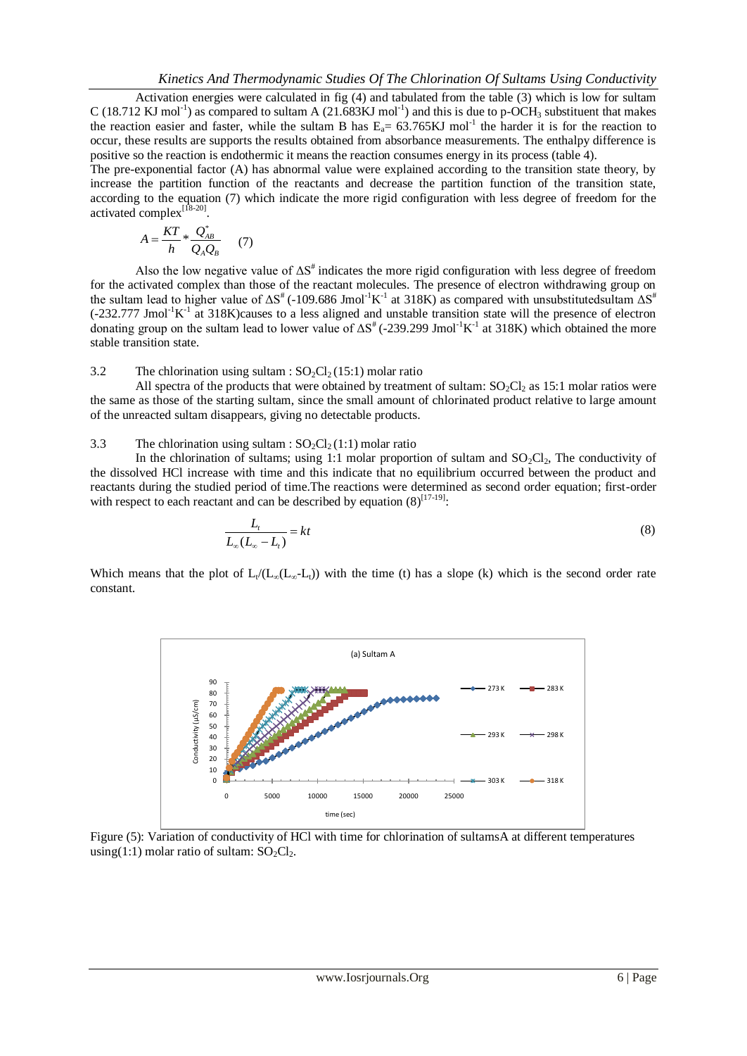Activation energies were calculated in fig (4) and tabulated from the table (3) which is low for sultam C (18.712 KJ mol<sup>-1</sup>) as compared to sultam A (21.683KJ mol<sup>-1</sup>) and this is due to p-OCH<sub>3</sub> substituent that makes the reaction easier and faster, while the sultam B has  $E_a = 63.765 \text{KJ}$  mol<sup>-1</sup> the harder it is for the reaction to occur, these results are supports the results obtained from absorbance measurements. The enthalpy difference is positive so the reaction is endothermic it means the reaction consumes energy in its process (table 4).

The pre-exponential factor (A) has abnormal value were explained according to the transition state theory, by increase the partition function of the reactants and decrease the partition function of the transition state, according to the equation (7) which indicate the more rigid configuration with less degree of freedom for the activated complex<sup>[18-20]</sup>.

$$
A = \frac{KT}{h} * \frac{Q_{AB}^*}{Q_A Q_B} \qquad (7)
$$

Also the low negative value of  $\Delta S^{\dagger}$  indicates the more rigid configuration with less degree of freedom for the activated complex than those of the reactant molecules. The presence of electron withdrawing group on the sultam lead to higher value of  $\Delta S^*$  (-109.686 Jmol<sup>-1</sup>K<sup>-1</sup> at 318K) as compared with unsubstitutedsultam  $\Delta S^*$  $(-232.777$  Jmol<sup>-1</sup>K<sup>-1</sup> at 318K)causes to a less aligned and unstable transition state will the presence of electron donating group on the sultam lead to lower value of  $\Delta S^*$  (-239.299 Jmol<sup>-1</sup>K<sup>-1</sup> at 318K) which obtained the more stable transition state.

## 3.2 The chlorination using sultam :  $SO_2Cl_2(15:1)$  molar ratio

All spectra of the products that were obtained by treatment of sultam:  $SO<sub>2</sub>Cl<sub>2</sub>$  as 15:1 molar ratios were the same as those of the starting sultam, since the small amount of chlorinated product relative to large amount of the unreacted sultam disappears, giving no detectable products.

#### 3.3 The chlorination using sultam :  $SO_2Cl_2(1:1)$  molar ratio

In the chlorination of sultams; using 1:1 molar proportion of sultam and  $SO_2Cl_2$ , The conductivity of the dissolved HCl increase with time and this indicate that no equilibrium occurred between the product and reactants during the studied period of time.The reactions were determined as second order equation; first-order with respect to each reactant and can be described by equation  $(8)^{[17-19]}$ .

$$
\frac{L_t}{L_\infty (L_\infty - L_t)} = kt \tag{8}
$$

Which means that the plot of  $L_t/(L_\infty(L_\infty-L_t))$  with the time (t) has a slope (k) which is the second order rate constant.



Figure (5): Variation of conductivity of HCl with time for chlorination of sultamsA at different temperatures using(1:1) molar ratio of sultam:  $SO_2Cl_2$ .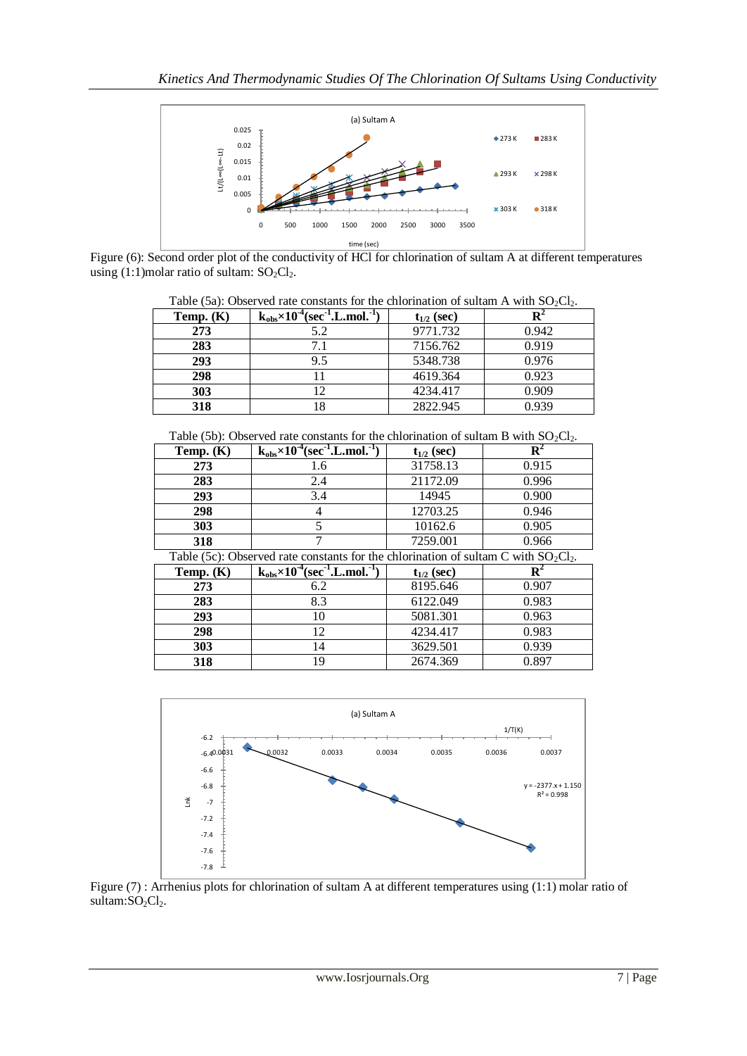

Figure (6): Second order plot of the conductivity of HCl for chlorination of sultam A at different temperatures using (1:1)molar ratio of sultam:  $SO_2Cl_2$ .

|             | Table (5a): Observed rate constants for the chiorination of suitam A with $SO_2Cl_2$ . |                 |       |  |  |  |
|-------------|----------------------------------------------------------------------------------------|-----------------|-------|--|--|--|
| Temp. $(K)$ | $k_{obs}$ ×10 <sup>-4</sup> (sec <sup>-1</sup> .L.mol. <sup>-1</sup> )                 | $t_{1/2}$ (sec) |       |  |  |  |
| 273         | 5.2                                                                                    | 9771.732        | 0.942 |  |  |  |
| 283         | 7.1                                                                                    | 7156.762        | 0.919 |  |  |  |
| 293         | 9.5                                                                                    | 5348.738        | 0.976 |  |  |  |
| 298         | 11                                                                                     | 4619.364        | 0.923 |  |  |  |
| <b>303</b>  | 12                                                                                     | 4234.417        | 0.909 |  |  |  |
| 318         | 18                                                                                     | 2822.945        | 0.939 |  |  |  |

 $Table (5a):$  Observed rate constants for the chlorination of sultam  $\Delta$  with SO<sub>2</sub>Cl

Table (5b): Observed rate constants for the chlorination of sultam B with  $SO_2Cl_2$ .

| Temp. $(K)$                                                                                       | $k_{obs} \times 10^{-4}$ (sec <sup>-1</sup> .L.mol. <sup>-1</sup> ) | $t_{1/2}$ (sec) |       |  |
|---------------------------------------------------------------------------------------------------|---------------------------------------------------------------------|-----------------|-------|--|
| 273                                                                                               | 1.6                                                                 | 31758.13        | 0.915 |  |
| 283                                                                                               | 2.4                                                                 | 21172.09        | 0.996 |  |
| 293                                                                                               | 3.4                                                                 | 14945           | 0.900 |  |
| 298                                                                                               |                                                                     | 12703.25        | 0.946 |  |
| 303                                                                                               |                                                                     | 10162.6         | 0.905 |  |
| 318                                                                                               |                                                                     | 7259.001        | 0.966 |  |
| Table $(5c)$ : Observed rate constants for the chlorination of sultam $\Gamma$ with $\mathcal{S}$ |                                                                     |                 |       |  |

| Table (5c): Observed rate constants for the chlorination of sultam C with $SO_2Cl_2$ . |                                                                                          |          |       |  |
|----------------------------------------------------------------------------------------|------------------------------------------------------------------------------------------|----------|-------|--|
| Temp. $(K)$                                                                            | $k_{obs} \times 10^{-4}$ (sec <sup>-1</sup> , L, mol, <sup>-1</sup> )<br>$t_{1/2}$ (sec) |          |       |  |
| 273                                                                                    | 6.2                                                                                      | 8195.646 | 0.907 |  |
| 283                                                                                    | 8.3                                                                                      | 6122.049 | 0.983 |  |
| 293                                                                                    | 10                                                                                       | 5081.301 | 0.963 |  |
| 298                                                                                    | 12                                                                                       | 4234.417 | 0.983 |  |
| 303                                                                                    | 14                                                                                       | 3629.501 | 0.939 |  |
| 318                                                                                    | 19                                                                                       | 2674.369 | 0.897 |  |



Figure (7) : Arrhenius plots for chlorination of sultam A at different temperatures using (1:1) molar ratio of sultam: $SO_2Cl_2$ .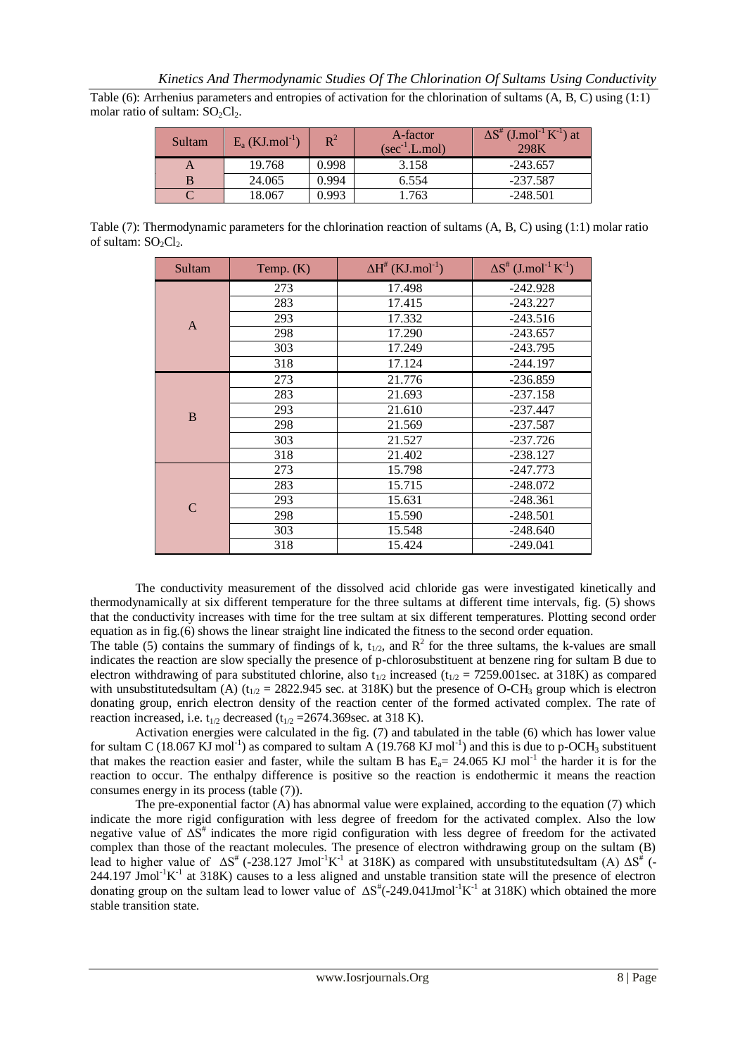Table (6): Arrhenius parameters and entropies of activation for the chlorination of sultams (A, B, C) using (1:1) molar ratio of sultam:  $SO_2Cl_2$ .

| Sultam | $E_a$ (KJ.mol <sup>-1</sup> ) | $\rm R^2$ | A-factor<br>$(\sec^{-1} L \mod)$ | $\Delta S^{\#}$ (J.mol <sup>-1</sup> K <sup>-1</sup> ) at<br>298K |
|--------|-------------------------------|-----------|----------------------------------|-------------------------------------------------------------------|
| A      | 19.768                        | 0.998     | 3.158                            | $-243.657$                                                        |
|        | 24.065                        | 0.994     | 6.554                            | $-237.587$                                                        |
|        | 18.067                        | 0.993     | 763                              | $-248.501$                                                        |

Table (7): Thermodynamic parameters for the chlorination reaction of sultams (A, B, C) using (1:1) molar ratio of sultam:  $SO_2Cl_2$ .

| Sultam | Temp. $(K)$ | $\Delta H^{\#}$ (KJ.mol <sup>-1</sup> ) | $\Delta S^{\#}$ (J.mol <sup>-1</sup> K <sup>-1</sup> ) |
|--------|-------------|-----------------------------------------|--------------------------------------------------------|
|        | 273         | 17.498                                  | $-242.928$                                             |
|        | 283         | 17.415                                  | $-243.227$                                             |
| A      | 293         | 17.332                                  | $-243.516$                                             |
|        | 298         | 17.290                                  | $-243.657$                                             |
|        | 303         | 17.249                                  | $-243.795$                                             |
|        | 318         | 17.124                                  | $-244.197$                                             |
|        | 273         | 21.776                                  | $-236.859$                                             |
|        | 283         | 21.693                                  | $-237.158$                                             |
| B      | 293         | 21.610                                  | $-237.447$                                             |
|        | 298         | 21.569                                  | $-237.587$                                             |
|        | 303         | 21.527                                  | $-237.726$                                             |
|        | 318         | 21.402                                  | $-238.127$                                             |
|        | 273         | 15.798                                  | $-247.773$                                             |
|        | 283         | 15.715                                  | $-248.072$                                             |
| C      | 293         | 15.631                                  | $-248.361$                                             |
|        | 298         | 15.590                                  | $-248.501$                                             |
|        | 303         | 15.548                                  | $-248.640$                                             |
|        | 318         | 15.424                                  | -249.041                                               |

The conductivity measurement of the dissolved acid chloride gas were investigated kinetically and thermodynamically at six different temperature for the three sultams at different time intervals, fig. (5) shows that the conductivity increases with time for the tree sultam at six different temperatures. Plotting second order equation as in fig.(6) shows the linear straight line indicated the fitness to the second order equation.

The table (5) contains the summary of findings of k,  $t_{1/2}$ , and  $R^2$  for the three sultams, the k-values are small indicates the reaction are slow specially the presence of p-chlorosubstituent at benzene ring for sultam B due to electron withdrawing of para substituted chlorine, also t<sub>1/2</sub> increased (t<sub>1/2</sub> = 7259.001sec. at 318K) as compared with unsubstitutedsultam (A) ( $t_{1/2}$  = 2822.945 sec. at 318K) but the presence of O-CH<sub>3</sub> group which is electron donating group, enrich electron density of the reaction center of the formed activated complex. The rate of reaction increased, i.e.  $t_{1/2}$  decreased ( $t_{1/2}$  =2674.369sec. at 318 K).

Activation energies were calculated in the fig. (7) and tabulated in the table (6) which has lower value for sultam C (18.067 KJ mol<sup>-1</sup>) as compared to sultam A (19.768 KJ mol<sup>-1</sup>) and this is due to p-OCH<sub>3</sub> substituent that makes the reaction easier and faster, while the sultam B has  $E_a = 24.065$  KJ mol<sup>-1</sup> the harder it is for the reaction to occur. The enthalpy difference is positive so the reaction is endothermic it means the reaction consumes energy in its process (table (7)).

The pre-exponential factor (A) has abnormal value were explained, according to the equation (7) which indicate the more rigid configuration with less degree of freedom for the activated complex. Also the low negative value of  $\Delta S^*$  indicates the more rigid configuration with less degree of freedom for the activated complex than those of the reactant molecules. The presence of electron withdrawing group on the sultam (B) lead to higher value of  $\Delta S^*$  (-238.127 Jmol<sup>-1</sup>K<sup>-1</sup> at 318K) as compared with unsubstitutedsultam (A)  $\Delta S^*$  (- $244.197$  Jmol<sup>-1</sup>K<sup>-1</sup> at 318K) causes to a less aligned and unstable transition state will the presence of electron donating group on the sultam lead to lower value of  $\Delta S^*$ (-249.041Jmol<sup>-1</sup>K<sup>-1</sup> at 318K) which obtained the more stable transition state.